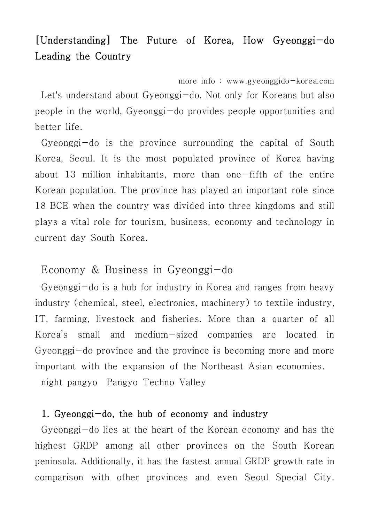# [Understanding] The Future of Korea, How Gyeonggi-do Leading the Country

more info : www.gyeonggido-korea.com Let's understand about Gyeonggi-do. Not only for Koreans but also people in the world, Gyeonggi-do provides people opportunities and better life.

Gyeonggi-do is the province surrounding the capital of South Korea, Seoul. It is the most populated province of Korea having about 13 million inhabitants, more than one-fifth of the entire Korean population. The province has played an important role since 18 BCE when the country was divided into three kingdoms and still plays a vital role for tourism, business, economy and technology in current day South Korea.

# Economy & Business in Gyeonggi-do

Gyeonggi-do is a hub for industry in Korea and ranges from heavy industry (chemical, steel, electronics, machinery) to textile industry, IT, farming, livestock and fisheries. More than a quarter of all Korea's small and medium-sized companies are located in Gyeonggi-do province and the province is becoming more and more important with the expansion of the Northeast Asian economies. night pangyo Pangyo Techno Valley

#### 1. Gyeonggi-do, the hub of economy and industry

Gyeonggi-do lies at the heart of the Korean economy and has the highest GRDP among all other provinces on the South Korean peninsula. Additionally, it has the fastest annual GRDP growth rate in comparison with other provinces and even Seoul Special City.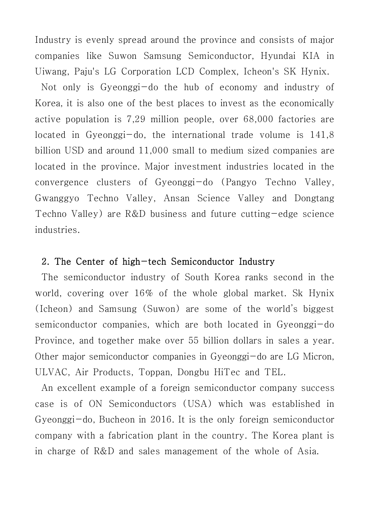Industry is evenly spread around the province and consists of major companies like Suwon Samsung Semiconductor, Hyundai KIA in Uiwang, Paju's LG Corporation LCD Complex, Icheon's SK Hynix.

Not only is Gyeonggi-do the hub of economy and industry of Korea, it is also one of the best places to invest as the economically active population is 7,29 million people, over 68,000 factories are located in Gyeonggi-do, the international trade volume is 141,8 billion USD and around 11,000 small to medium sized companies are located in the province. Major investment industries located in the convergence clusters of Gyeonggi-do (Pangyo Techno Valley, Gwanggyo Techno Valley, Ansan Science Valley and Dongtang Techno Valley) are R&D business and future cutting-edge science industries.

#### 2. The Center of high-tech Semiconductor Industry

The semiconductor industry of South Korea ranks second in the world, covering over 16% of the whole global market. Sk Hynix (Icheon) and Samsung (Suwon) are some of the world's biggest semiconductor companies, which are both located in Gyeonggi-do Province, and together make over 55 billion dollars in sales a year. Other major semiconductor companies in Gyeonggi-do are LG Micron, ULVAC, Air Products, Toppan, Dongbu HiTec and TEL.

An excellent example of a foreign semiconductor company success case is of ON Semiconductors (USA) which was established in Gyeonggi-do, Bucheon in 2016. It is the only foreign semiconductor company with a fabrication plant in the country. The Korea plant is in charge of R&D and sales management of the whole of Asia.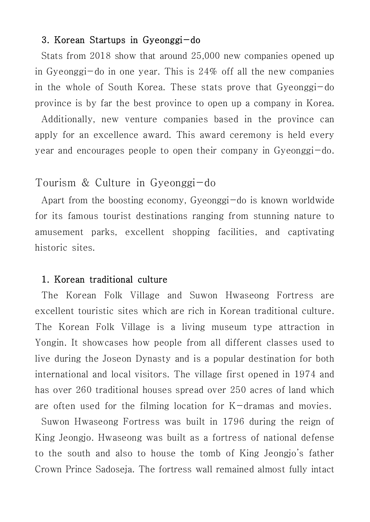#### 3. Korean Startups in Gyeonggi-do

Stats from 2018 show that around 25,000 new companies opened up in Gyeonggi-do in one year. This is 24% off all the new companies in the whole of South Korea. These stats prove that Gyeonggi-do province is by far the best province to open up a company in Korea.

Additionally, new venture companies based in the province can apply for an excellence award. This award ceremony is held every year and encourages people to open their company in Gyeonggi-do.

### Tourism & Culture in Gyeonggi-do

Apart from the boosting economy, Gyeonggi-do is known worldwide for its famous tourist destinations ranging from stunning nature to amusement parks, excellent shopping facilities, and captivating historic sites.

#### 1. Korean traditional culture

The Korean Folk Village and Suwon Hwaseong Fortress are excellent touristic sites which are rich in Korean traditional culture. The Korean Folk Village is a living museum type attraction in Yongin. It showcases how people from all different classes used to live during the Joseon Dynasty and is a popular destination for both international and local visitors. The village first opened in 1974 and has over 260 traditional houses spread over 250 acres of land which are often used for the filming location for K-dramas and movies.

Suwon Hwaseong Fortress was built in 1796 during the reign of King Jeongjo. Hwaseong was built as a fortress of national defense to the south and also to house the tomb of King Jeongjo's father Crown Prince Sadoseja. The fortress wall remained almost fully intact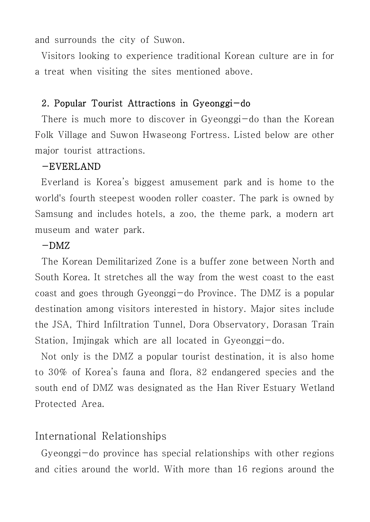and surrounds the city of Suwon.

Visitors looking to experience traditional Korean culture are in for a treat when visiting the sites mentioned above.

#### 2. Popular Tourist Attractions in Gyeonggi-do

There is much more to discover in Gyeonggi-do than the Korean Folk Village and Suwon Hwaseong Fortress. Listed below are other major tourist attractions.

#### -EVERLAND

Everland is Korea's biggest amusement park and is home to the world's fourth steepest wooden roller coaster. The park is owned by Samsung and includes hotels, a zoo, the theme park, a modern art museum and water park.

#### $-DMZ$

The Korean Demilitarized Zone is a buffer zone between North and South Korea. It stretches all the way from the west coast to the east coast and goes through Gyeonggi-do Province. The DMZ is a popular destination among visitors interested in history. Major sites include the JSA, Third Infiltration Tunnel, Dora Observatory, Dorasan Train Station, Imjingak which are all located in Gyeonggi-do.

Not only is the DMZ a popular tourist destination, it is also home to 30% of Korea's fauna and flora, 82 endangered species and the south end of DMZ was designated as the Han River Estuary Wetland Protected Area.

# International Relationships

Gyeonggi-do province has special relationships with other regions and cities around the world. With more than 16 regions around the